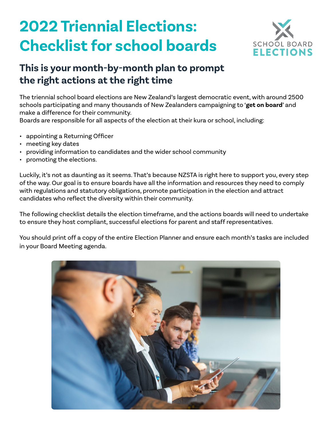# **2022 Triennial Elections: Checklist for school boards**



# **This is your month-by-month plan to prompt the right actions at the right time**

The triennial school board elections are New Zealand's largest democratic event, with around 2500 schools participating and many thousands of New Zealanders campaigning to '**get on board**' and make a difference for their community.

Boards are responsible for all aspects of the election at their kura or school, including:

- appointing a Returning Officer
- meeting key dates
- providing information to candidates and the wider school community
- promoting the elections.

Luckily, it's not as daunting as it seems. That's because NZSTA is right here to support you, every step of the way. Our goal is to ensure boards have all the information and resources they need to comply with regulations and statutory obligations, promote participation in the election and attract candidates who reflect the diversity within their community.

The following checklist details the election timeframe, and the actions boards will need to undertake to ensure they host compliant, successful elections for parent and staff representatives.

You should print off a copy of the entire Election Planner and ensure each month's tasks are included in your Board Meeting agenda.

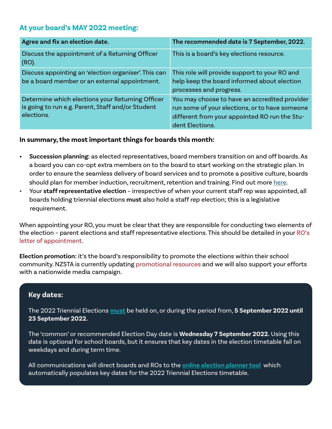# **At your board's MAY 2022 meeting:**

| Agree and fix an election date.                                                                                     | The recommended date is 7 September, 2022.                                                                                                                          |
|---------------------------------------------------------------------------------------------------------------------|---------------------------------------------------------------------------------------------------------------------------------------------------------------------|
| Discuss the appointment of a Returning Officer<br>(RO).                                                             | This is a board's key elections resource.                                                                                                                           |
| Discuss appointing an 'election organiser'. This can<br>be a board member or an external appointment.               | This role will provide support to your RO and<br>help keep the board informed about election<br>processes and progress.                                             |
| Determine which elections your Returning Officer<br>is going to run e.g. Parent, Staff and/or Student<br>elections. | You may choose to have an accredited provider<br>run some of your elections, or to have someone<br>different from your appointed RO run the Stu-<br>dent Elections. |

#### **In summary, the most important things for boards this month:**

- **• Succession planning:** as elected representatives, board members transition on and off boards. As a board you can co-opt extra members on to the board to start working on the strategic plan. In order to ensure the seamless delivery of board services and to promote a positive culture, boards should plan for member induction, recruitment, retention and training. Find out more [here](https://www.schoolboardelections.org.nz/board-resources/succession-planning/).
- Your **staff representative election** irrespective of when your current staff rep was appointed, all boards holding triennial elections **must** also hold a staff rep election; this is a legislative requirement.

When appointing your RO, you must be clear that they are responsible for conducting two elements of the election - parent elections and staff representative elections. This should be detailed in your RO's [letter of appointment](https://view.officeapps.live.com/op/view.aspx?src=https%3A%2F%2Fwww.schoolboardelections.org.nz%2Fassets%2F645e6ad94d%2FReturning-officer-letter-of-appointment-Jan-2021-5-v2.docx&wdOrigin=BROWSELINK).

**Election promotion:** it's the board's responsibility to promote the elections within their school community. NZSTA is currently updating [promotional resources](https://www.schoolboardelections.org.nz/board-resources/promoting-the-elections/promotional-material/) and we will also support your efforts with a nationwide media campaign.

### **Key dates:**

The 2022 Triennial Elections **must** be held on, or during the period from, **5 September 2022 until 23 September 2022.**

The 'common' or recommended Election Day date is **Wednesday 7 September 2022.** Using this date is optional for school boards, but it ensures that key dates in the election timetable fall on weekdays and during term time.

All communications will direct boards and ROs to the **[online election planner tool](https://www.schoolboardelections.org.nz/board-resources/election-planning/)**, which automatically populates key dates for the 2022 Triennial Elections timetable.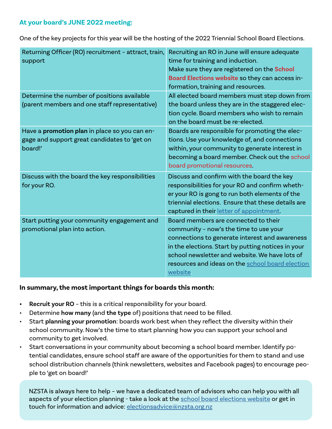### **At your board's JUNE 2022 meeting:**

One of the key projects for this year will be the hosting of the 2022 Triennial School Board Elections.

| Returning Officer (RO) recruitment - attract, train,<br>support                                          | Recruiting an RO in June will ensure adequate<br>time for training and induction.<br>Make sure they are registered on the School<br>Board Elections website so they can access in-<br>formation, training and resources.                                                                                 |
|----------------------------------------------------------------------------------------------------------|----------------------------------------------------------------------------------------------------------------------------------------------------------------------------------------------------------------------------------------------------------------------------------------------------------|
| Determine the number of positions available<br>(parent members and one staff representative)             | All elected board members must step down from<br>the board unless they are in the staggered elec-<br>tion cycle. Board members who wish to remain<br>on the board must be re-elected.                                                                                                                    |
| Have a promotion plan in place so you can en-<br>gage and support great candidates to 'get on<br>board!' | Boards are responsible for promoting the elec-<br>tions. Use your knowledge of, and connections<br>within, your community to generate interest in<br>becoming a board member. Check out the school<br>board promotional resources.                                                                       |
| Discuss with the board the key responsibilities<br>for your RO.                                          | Discuss and confirm with the board the key<br>responsibilities for your RO and confirm wheth-<br>er your RO is gong to run both elements of the<br>triennial elections. Ensure that these details are<br>captured in their letter of appointment.                                                        |
| Start putting your community engagement and<br>promotional plan into action.                             | Board members are connected to their<br>community - now's the time to use your<br>connections to generate interest and awareness<br>in the elections. Start by putting notices in your<br>school newsletter and website. We have lots of<br>resources and ideas on the school board election<br>website. |

### **In summary, the most important things for boards this month:**

- **• Recruit your RO** this is a critical responsibility for your board.
- Determine **how many** (and **the type** of) positions that need to be filled.
- Start **planning your promotion**: boards work best when they reflect the diversity within their school community. Now's the time to start planning how you can support your school and community to get involved.
- Start conversations in your community about becoming a school board member. Identify potential candidates, ensure school staff are aware of the opportunities for them to stand and use school distribution channels (think newsletters, websites and Facebook pages) to encourage people to 'get on board!'

NZSTA is always here to help – we have a dedicated team of advisors who can help you with all aspects of your election planning - take a look at the [school board elections website](https://www.schoolboardelections.org.nz/) or get in touch for information and advice: [electionsadvice@nzsta.org.nz](mailto:electionsadvice%40nzsta.org.nz?subject=)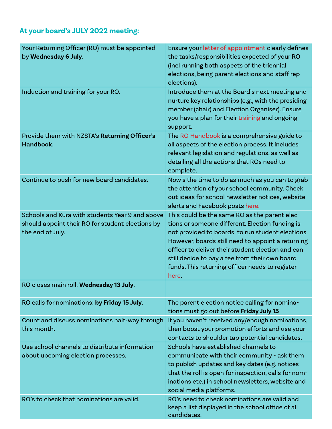# **At your board's JULY 2022 meeting:**

| Your Returning Officer (RO) must be appointed<br>by Wednesday 6 July.                                                   | Ensure your letter of appointment clearly defines<br>the tasks/responsibilities expected of your RO<br>(incl running both aspects of the triennial<br>elections, being parent elections and staff rep<br>elections).                                                                                                                                                         |
|-------------------------------------------------------------------------------------------------------------------------|------------------------------------------------------------------------------------------------------------------------------------------------------------------------------------------------------------------------------------------------------------------------------------------------------------------------------------------------------------------------------|
| Induction and training for your RO.                                                                                     | Introduce them at the Board's next meeting and<br>nurture key relationships (e.g., with the presiding<br>member (chair) and Election Organiser). Ensure<br>you have a plan for their training and ongoing<br>support.                                                                                                                                                        |
| Provide them with NZSTA's Returning Officer's<br>Handbook.                                                              | The RO Handbook is a comprehensive guide to<br>all aspects of the election process. It includes<br>relevant legislation and regulations, as well as<br>detailing all the actions that ROs need to<br>complete.                                                                                                                                                               |
| Continue to push for new board candidates.                                                                              | Now's the time to do as much as you can to grab<br>the attention of your school community. Check<br>out ideas for school newsletter notices, website<br>alerts and Facebook posts here.                                                                                                                                                                                      |
| Schools and Kura with students Year 9 and above<br>should appoint their RO for student elections by<br>the end of July. | This could be the same RO as the parent elec-<br>tions or someone different. Election funding is<br>not provided to boards to run student elections.<br>However, boards still need to appoint a returning<br>officer to deliver their student election and can<br>still decide to pay a fee from their own board<br>funds. This returning officer needs to register<br>here. |
| RO closes main roll: Wednesday 13 July.                                                                                 |                                                                                                                                                                                                                                                                                                                                                                              |
| RO calls for nominations: by Friday 15 July.                                                                            | The parent election notice calling for nomina-<br>tions must go out before Friday July 15                                                                                                                                                                                                                                                                                    |
| Count and discuss nominations half-way through<br>this month.                                                           | If you haven't received any/enough nominations,<br>then boost your promotion efforts and use your<br>contacts to shoulder tap potential candidates.                                                                                                                                                                                                                          |
| Use school channels to distribute information<br>about upcoming election processes.                                     | Schools have established channels to<br>communicate with their community - ask them<br>to publish updates and key dates (e.g. notices<br>that the roll is open for inspection, calls for nom-<br>inations etc.) in school newsletters, website and<br>social media platforms.                                                                                                |
| RO's to check that nominations are valid.                                                                               | RO's need to check nominations are valid and<br>keep a list displayed in the school office of all<br>candidates.                                                                                                                                                                                                                                                             |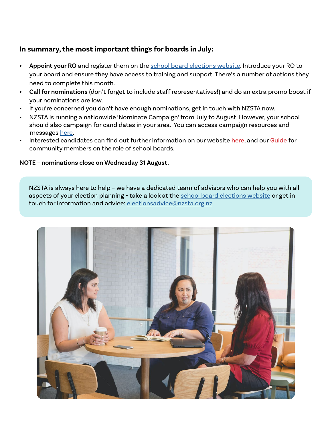## **In summary, the most important things for boards in July:**

- **• Appoint your RO** and register them on the [school board elections website.](https://www.schoolboardelections.org.nz/) Introduce your RO to your board and ensure they have access to training and support. There's a number of actions they need to complete this month.
- **• Call for nominations** (don't forget to include staff representatives!) and do an extra promo boost if your nominations are low.
- If you're concerned you don't have enough nominations, get in touch with NZSTA now.
- NZSTA is running a nationwide 'Nominate Campaign' from July to August. However, your school should also campaign for candidates in your area. You can access campaign resources and messages [here](https://www.schoolboardelections.org.nz/board-resources/promoting-the-elections/promotional-material/).
- Interested candidates can find out further information on our website [here,](https://www.schoolboardelections.org.nz/becoming-a-board-member/) and our [Guide](https://www.schoolboardelections.org.nz/assets/05fbf6dda2/Community-member-guide-to-the-role-of-the-board-of-trustees_Sept-2020-v2.pdf) for community members on the role of school boards.

#### **NOTE – nominations close on Wednesday 31 August**.

NZSTA is always here to help – we have a dedicated team of advisors who can help you with all aspects of your election planning - take a look at the [school board elections website](https://www.schoolboardelections.org.nz/) or get in touch for information and advice: [electionsadvice@nzsta.org.nz](mailto:electionsadvice%40nzsta.org.nz?subject=)

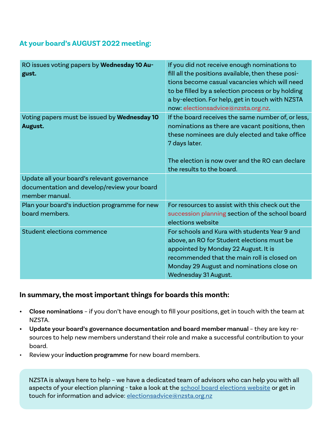# **At your board's AUGUST 2022 meeting:**

| RO issues voting papers by Wednesday 10 Au-<br>gust.                                                         | If you did not receive enough nominations to<br>fill all the positions available, then these posi-<br>tions become casual vacancies which will need<br>to be filled by a selection process or by holding<br>a by-election. For help, get in touch with NZSTA<br>now: electionsadvice@nzsta.org.nz. |
|--------------------------------------------------------------------------------------------------------------|----------------------------------------------------------------------------------------------------------------------------------------------------------------------------------------------------------------------------------------------------------------------------------------------------|
| Voting papers must be issued by Wednesday 10<br>August.                                                      | If the board receives the same number of, or less,<br>nominations as there are vacant positions, then<br>these nominees are duly elected and take office<br>7 days later.<br>The election is now over and the RO can declare<br>the results to the board.                                          |
| Update all your board's relevant governance<br>documentation and develop/review your board<br>member manual. |                                                                                                                                                                                                                                                                                                    |
| Plan your board's induction programme for new<br>board members.                                              | For resources to assist with this check out the<br>succession planning section of the school board<br>elections website                                                                                                                                                                            |
| Student elections commence                                                                                   | For schools and Kura with students Year 9 and<br>above, an RO for Student elections must be<br>appointed by Monday 22 August. It is<br>recommended that the main roll is closed on<br>Monday 29 August and nominations close on<br>Wednesday 31 August.                                            |

### **In summary, the most important things for boards this month:**

- **• Close nominations** if you don't have enough to fill your positions, get in touch with the team at NZSTA.
- **• Update your board's governance documentation and board member manual**  they are key resources to help new members understand their role and make a successful contribution to your board.
- Review your **induction programme** for new board members.

NZSTA is always here to help – we have a dedicated team of advisors who can help you with all aspects of your election planning - take a look at the [school board elections website](https://www.schoolboardelections.org.nz/) or get in touch for information and advice: [electionsadvice@nzsta.org.nz](mailto:electionsadvice%40nzsta.org.nz?subject=)